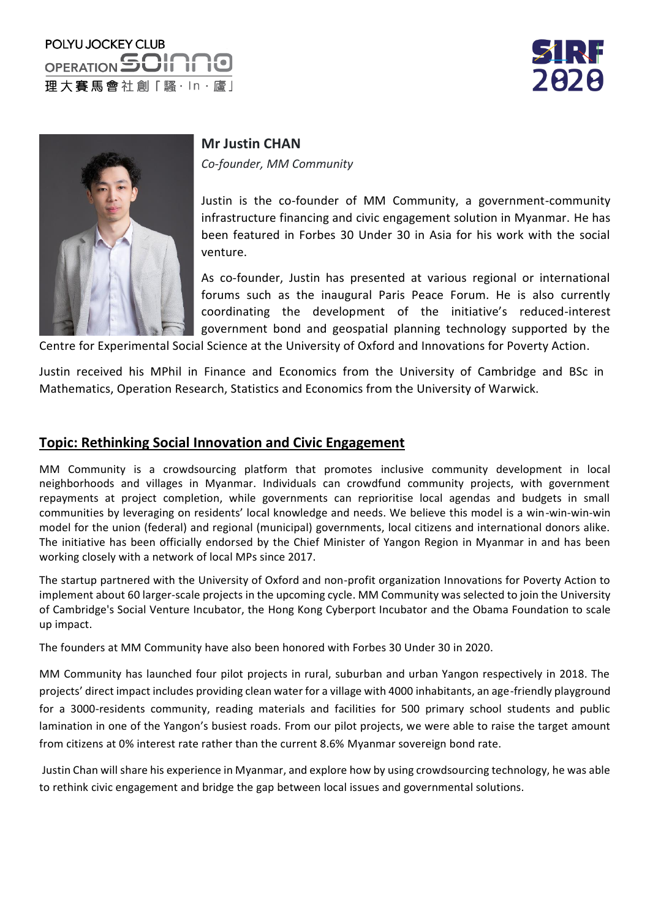# POLYU JOCKEY CLUB OPERATION SOI 理大賽馬會社創「騷·ln·廬」





#### **Mr Justin CHAN**

*Co-founder, MM Community*

Justin is the co-founder of MM Community, a government-community infrastructure financing and civic engagement solution in Myanmar. He has been featured in Forbes 30 Under 30 in Asia for his work with the social venture.

As co-founder, Justin has presented at various regional or international forums such as the inaugural Paris Peace Forum. He is also currently coordinating the development of the initiative's reduced-interest government bond and geospatial planning technology supported by the

Centre for Experimental Social Science at the University of Oxford and Innovations for Poverty Action.

Justin received his MPhil in Finance and Economics from the University of Cambridge and BSc in Mathematics, Operation Research, Statistics and Economics from the University of Warwick.

#### **Topic: Rethinking Social Innovation and Civic Engagement**

MM Community is a crowdsourcing platform that promotes inclusive community development in local neighborhoods and villages in Myanmar. Individuals can crowdfund community projects, with government repayments at project completion, while governments can reprioritise local agendas and budgets in small communities by leveraging on residents' local knowledge and needs. We believe this model is a win-win-win-win model for the union (federal) and regional (municipal) governments, local citizens and international donors alike. The initiative has been officially endorsed by the Chief Minister of Yangon Region in Myanmar in and has been working closely with a network of local MPs since 2017.

The startup partnered with the University of Oxford and non-profit organization Innovations for Poverty Action to implement about 60 larger-scale projects in the upcoming cycle. MM Community was selected to join the University of Cambridge's Social Venture Incubator, the Hong Kong Cyberport Incubator and the Obama Foundation to scale up impact.

The founders at MM Community have also been honored with Forbes 30 Under 30 in 2020.

MM Community has launched four pilot projects in rural, suburban and urban Yangon respectively in 2018. The projects' direct impact includes providing clean water for a village with 4000 inhabitants, an age-friendly playground for a 3000-residents community, reading materials and facilities for 500 primary school students and public lamination in one of the Yangon's busiest roads. From our pilot projects, we were able to raise the target amount from citizens at 0% interest rate rather than the current 8.6% Myanmar sovereign bond rate.

Justin Chan will share his experience in Myanmar, and explore how by using crowdsourcing technology, he was able to rethink civic engagement and bridge the gap between local issues and governmental solutions.